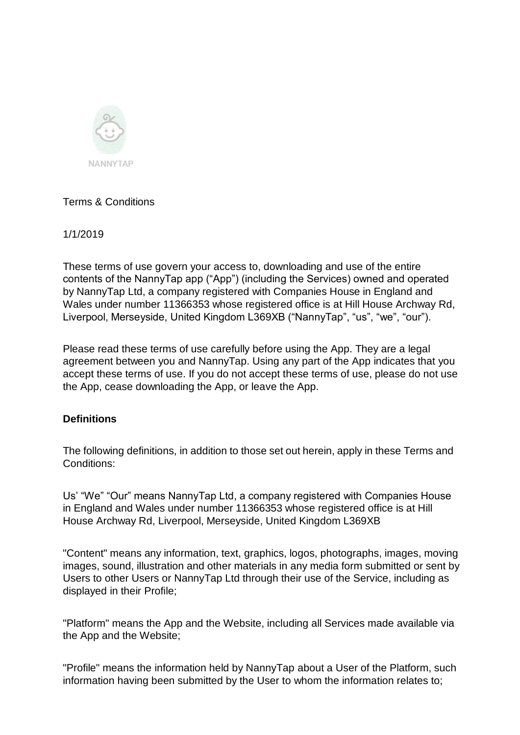

## Terms & Conditions

1/1/2019

These terms of use govern your access to, downloading and use of the entire contents of the NannyTap app ("App") (including the Services) owned and operated by NannyTap Ltd, a company registered with Companies House in England and Wales under number 11366353 whose registered office is at Hill House Archway Rd, Liverpool, Merseyside, United Kingdom L369XB ("NannyTap", "us", "we", "our").

Please read these terms of use carefully before using the App. They are a legal agreement between you and NannyTap. Using any part of the App indicates that you accept these terms of use. If you do not accept these terms of use, please do not use the App, cease downloading the App, or leave the App.

## **Definitions**

The following definitions, in addition to those set out herein, apply in these Terms and Conditions:

Us' "We" "Our" means NannyTap Ltd, a company registered with Companies House in England and Wales under number 11366353 whose registered office is at Hill House Archway Rd, Liverpool, Merseyside, United Kingdom L369XB

"Content" means any information, text, graphics, logos, photographs, images, moving images, sound, illustration and other materials in any media form submitted or sent by Users to other Users or NannyTap Ltd through their use of the Service, including as displayed in their Profile;

"Platform" means the App and the Website, including all Services made available via the App and the Website;

"Profile" means the information held by NannyTap about a User of the Platform, such information having been submitted by the User to whom the information relates to;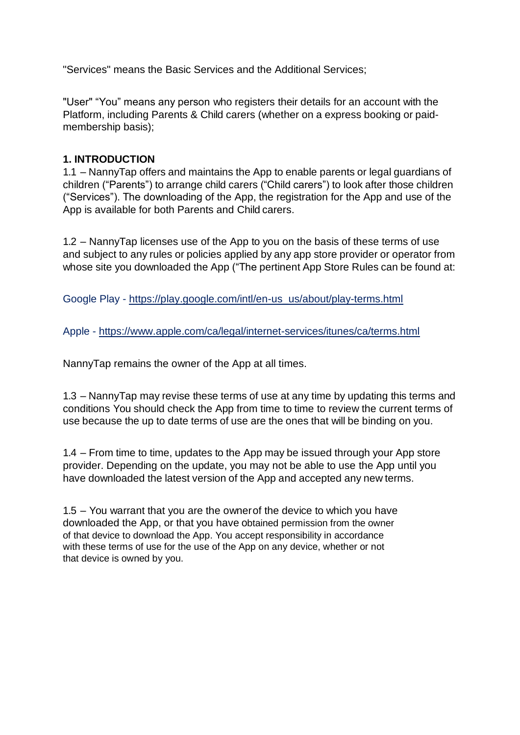"Services" means the Basic Services and the Additional Services;

"User" "You" means any person who registers their details for an account with the Platform, including Parents & Child carers (whether on a express booking or paidmembership basis);

#### **1. INTRODUCTION**

1.1 – NannyTap offers and maintains the App to enable parents or legal guardians of children ("Parents") to arrange child carers ("Child carers") to look after those children ("Services"). The downloading of the App, the registration for the App and use of the App is available for both Parents and Child carers.

1.2 – NannyTap licenses use of the App to you on the basis of these terms of use and subject to any rules or policies applied by any app store provider or operator from whose site you downloaded the App ("The pertinent App Store Rules can be found at:

Google Play - [https://play.google.com/intl/en-us\\_us/about/play-terms.html](https://play.google.com/intl/en-us_us/about/play-terms.html)

Apple - <https://www.apple.com/ca/legal/internet-services/itunes/ca/terms.html>

NannyTap remains the owner of the App at all times.

1.3 – NannyTap may revise these terms of use at any time by updating this terms and conditions You should check the App from time to time to review the current terms of use because the up to date terms of use are the ones that will be binding on you.

1.4 – From time to time, updates to the App may be issued through your App store provider. Depending on the update, you may not be able to use the App until you have downloaded the latest version of the App and accepted any new terms.

1.5 – You warrant that you are the ownerof the device to which you have downloaded the App, or that you have obtained permission from the owner of that device to download the App. You accept responsibility in accordance with these terms of use for the use of the App on any device, whether or not that device is owned by you.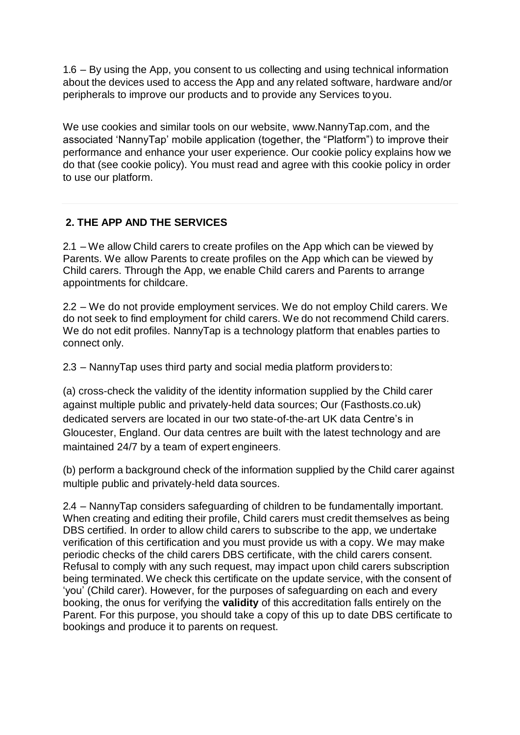1.6 – By using the App, you consent to us collecting and using technical information about the devices used to access the App and any related software, hardware and/or peripherals to improve our products and to provide any Services toyou.

We use cookies and similar tools on our website, [www.NannyTap.com, a](http://www.nannytap.com/)nd the associated 'NannyTap' mobile application (together, the "Platform") to improve their performance and enhance your user experience. Our cookie policy explains how we do that (see cookie policy). You must read and agree with this cookie policy in order to use our platform.

# **2. THE APP AND THE SERVICES**

2.1 – We allow Child carers to create profiles on the App which can be viewed by Parents. We allow Parents to create profiles on the App which can be viewed by Child carers. Through the App, we enable Child carers and Parents to arrange appointments for childcare.

2.2 – We do not provide employment services. We do not employ Child carers. We do not seek to find employment for child carers. We do not recommend Child carers. We do not edit profiles. NannyTap is a technology platform that enables parties to connect only.

2.3 – NannyTap uses third party and social media platform providers to:

(a) cross-check the validity of the identity information supplied by the Child carer against multiple public and privately-held data sources; Our (Fasthosts.co.uk) dedicated servers are located in our two state-of-the-art UK data Centre's in Gloucester, England. Our data centres are built with the latest technology and are maintained 24/7 by a team of expert engineers.

(b) perform a background check of the information supplied by the Child carer against multiple public and privately-held data sources.

2.4 – NannyTap considers safeguarding of children to be fundamentally important. When creating and editing their profile, Child carers must credit themselves as being DBS certified. In order to allow child carers to subscribe to the app, we undertake verification of this certification and you must provide us with a copy. We may make periodic checks of the child carers DBS certificate, with the child carers consent. Refusal to comply with any such request, may impact upon child carers subscription being terminated. We check this certificate on the update service, with the consent of 'you' (Child carer). However, for the purposes of safeguarding on each and every booking, the onus for verifying the **validity** of this accreditation falls entirely on the Parent. For this purpose, you should take a copy of this up to date DBS certificate to bookings and produce it to parents on request.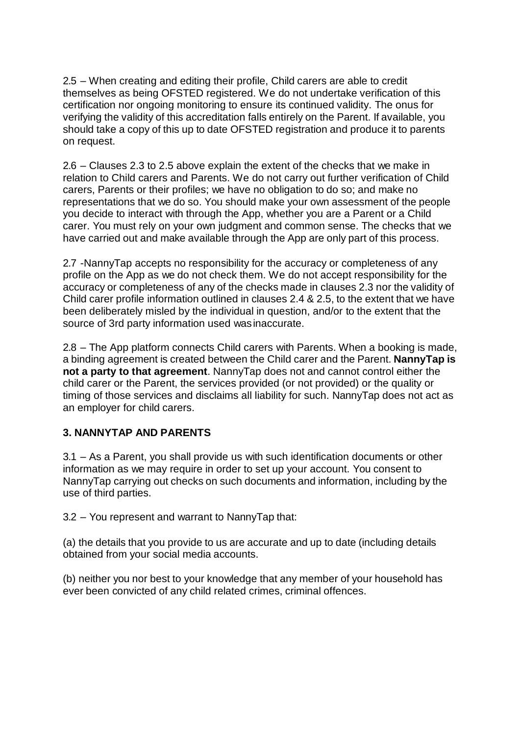2.5 – When creating and editing their profile, Child carers are able to credit themselves as being OFSTED registered. We do not undertake verification of this certification nor ongoing monitoring to ensure its continued validity. The onus for verifying the validity of this accreditation falls entirely on the Parent. If available, you should take a copy of this up to date OFSTED registration and produce it to parents on request.

2.6 – Clauses 2.3 to 2.5 above explain the extent of the checks that we make in relation to Child carers and Parents. We do not carry out further verification of Child carers, Parents or their profiles; we have no obligation to do so; and make no representations that we do so. You should make your own assessment of the people you decide to interact with through the App, whether you are a Parent or a Child carer. You must rely on your own judgment and common sense. The checks that we have carried out and make available through the App are only part of this process.

2.7 -NannyTap accepts no responsibility for the accuracy or completeness of any profile on the App as we do not check them. We do not accept responsibility for the accuracy or completeness of any of the checks made in clauses 2.3 nor the validity of Child carer profile information outlined in clauses 2.4 & 2.5, to the extent that we have been deliberately misled by the individual in question, and/or to the extent that the source of 3rd party information used wasinaccurate.

2.8 – The App platform connects Child carers with Parents. When a booking is made, a binding agreement is created between the Child carer and the Parent. **NannyTap is not a party to that agreement**. NannyTap does not and cannot control either the child carer or the Parent, the services provided (or not provided) or the quality or timing of those services and disclaims all liability for such. NannyTap does not act as an employer for child carers.

## **3. NANNYTAP AND PARENTS**

3.1 – As a Parent, you shall provide us with such identification documents or other information as we may require in order to set up your account. You consent to NannyTap carrying out checks on such documents and information, including by the use of third parties.

3.2 – You represent and warrant to NannyTap that:

(a) the details that you provide to us are accurate and up to date (including details obtained from your social media accounts.

(b) neither you nor best to your knowledge that any member of your household has ever been convicted of any child related crimes, criminal offences.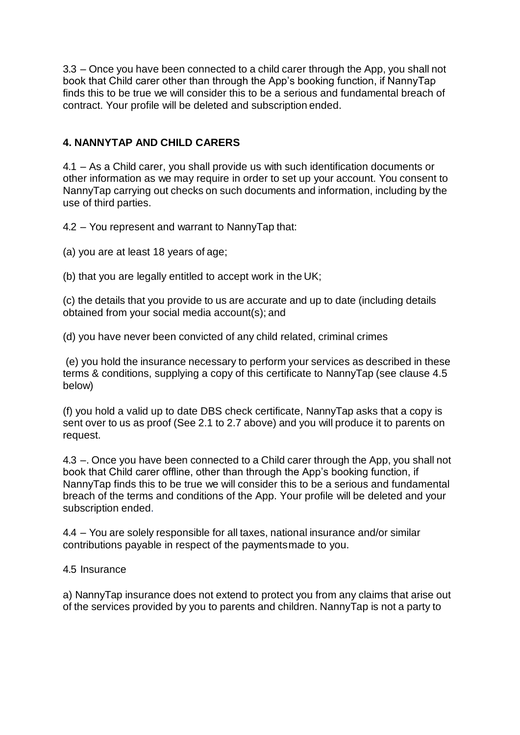3.3 – Once you have been connected to a child carer through the App, you shall not book that Child carer other than through the App's booking function, if NannyTap finds this to be true we will consider this to be a serious and fundamental breach of contract. Your profile will be deleted and subscription ended.

## **4. NANNYTAP AND CHILD CARERS**

4.1 – As a Child carer, you shall provide us with such identification documents or other information as we may require in order to set up your account. You consent to NannyTap carrying out checks on such documents and information, including by the use of third parties.

4.2 – You represent and warrant to NannyTap that:

(a) you are at least 18 years of age;

(b) that you are legally entitled to accept work in the UK;

(c) the details that you provide to us are accurate and up to date (including details obtained from your social media account(s); and

(d) you have never been convicted of any child related, criminal crimes

(e) you hold the insurance necessary to perform your services as described in these terms & conditions, supplying a copy of this certificate to NannyTap (see clause 4.5 below)

(f) you hold a valid up to date DBS check certificate, NannyTap asks that a copy is sent over to us as proof (See 2.1 to 2.7 above) and you will produce it to parents on request.

4.3 –. Once you have been connected to a Child carer through the App, you shall not book that Child carer offline, other than through the App's booking function, if NannyTap finds this to be true we will consider this to be a serious and fundamental breach of the terms and conditions of the App. Your profile will be deleted and your subscription ended.

4.4 – You are solely responsible for all taxes, national insurance and/or similar contributions payable in respect of the paymentsmade to you.

#### 4.5 Insurance

a) NannyTap insurance does not extend to protect you from any claims that arise out of the services provided by you to parents and children. NannyTap is not a party to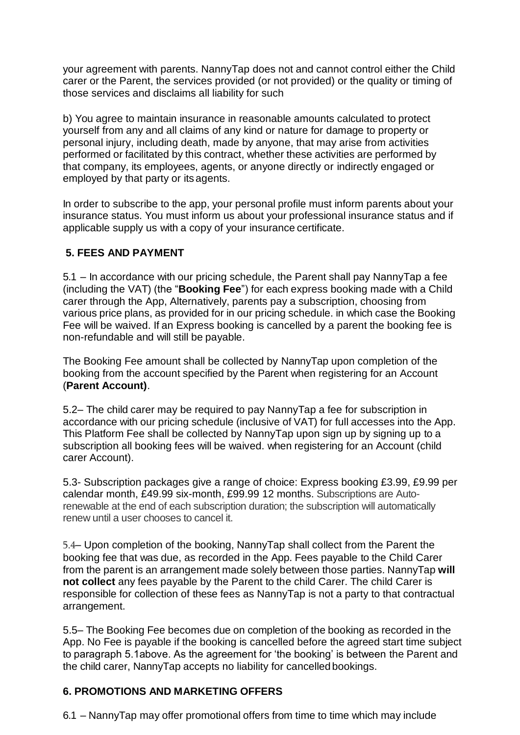your agreement with parents. NannyTap does not and cannot control either the Child carer or the Parent, the services provided (or not provided) or the quality or timing of those services and disclaims all liability for such

b) You agree to maintain insurance in reasonable amounts calculated to protect yourself from any and all claims of any kind or nature for damage to property or personal injury, including death, made by anyone, that may arise from activities performed or facilitated by this contract, whether these activities are performed by that company, its employees, agents, or anyone directly or indirectly engaged or employed by that party or its agents.

In order to subscribe to the app, your personal profile must inform parents about your insurance status. You must inform us about your professional insurance status and if applicable supply us with a copy of your insurance certificate.

## **5. FEES AND PAYMENT**

5.1 – In accordance with our pricing schedule, the Parent shall pay NannyTap a fee (including the VAT) (the "**Booking Fee**") for each express booking made with a Child carer through the App, Alternatively, parents pay a subscription, choosing from various price plans, as provided for in our pricing schedule. in which case the Booking Fee will be waived. If an Express booking is cancelled by a parent the booking fee is non-refundable and will still be payable.

The Booking Fee amount shall be collected by NannyTap upon completion of the booking from the account specified by the Parent when registering for an Account (**Parent Account)**.

5.2– The child carer may be required to pay NannyTap a fee for subscription in accordance with our pricing schedule (inclusive of VAT) for full accesses into the App. This Platform Fee shall be collected by NannyTap upon sign up by signing up to a subscription all booking fees will be waived. when registering for an Account (child carer Account).

5.3- Subscription packages give a range of choice: Express booking £3.99, £9.99 per calendar month, £49.99 six-month, £99.99 12 months. Subscriptions are Autorenewable at the end of each subscription duration; the subscription will automatically renew until a user chooses to cancel it.

5.4– Upon completion of the booking, NannyTap shall collect from the Parent the booking fee that was due, as recorded in the App. Fees payable to the Child Carer from the parent is an arrangement made solely between those parties. NannyTap **will not collect** any fees payable by the Parent to the child Carer. The child Carer is responsible for collection of these fees as NannyTap is not a party to that contractual arrangement.

5.5– The Booking Fee becomes due on completion of the booking as recorded in the App. No Fee is payable if the booking is cancelled before the agreed start time subject to paragraph 5.1above. As the agreement for 'the booking' is between the Parent and the child carer, NannyTap accepts no liability for cancelled bookings.

## **6. PROMOTIONS AND MARKETING OFFERS**

6.1 – NannyTap may offer promotional offers from time to time which may include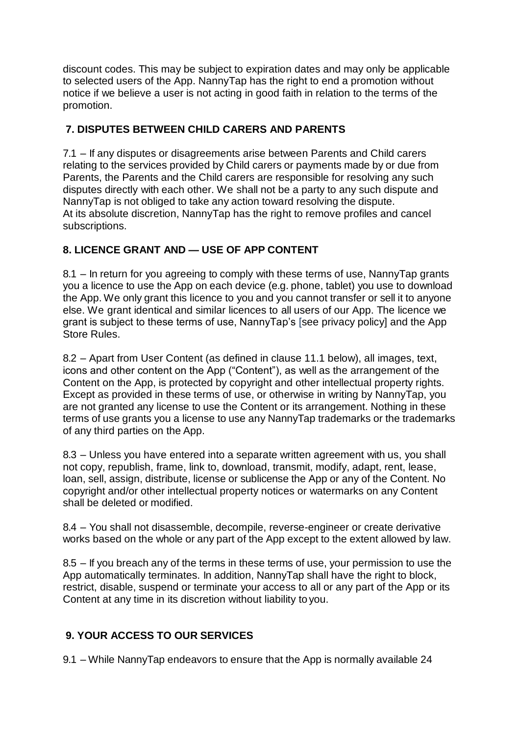discount codes. This may be subject to expiration dates and may only be applicable to selected users of the App. NannyTap has the right to end a promotion without notice if we believe a user is not acting in good faith in relation to the terms of the promotion.

## **7. DISPUTES BETWEEN CHILD CARERS AND PARENTS**

7.1 – If any disputes or disagreements arise between Parents and Child carers relating to the services provided by Child carers or payments made by or due from Parents, the Parents and the Child carers are responsible for resolving any such disputes directly with each other. We shall not be a party to any such dispute and NannyTap is not obliged to take any action toward resolving the dispute. At its absolute discretion, NannyTap has the right to remove profiles and cancel subscriptions.

# **8. LICENCE GRANT AND — USE OF APP CONTENT**

8.1 – In return for you agreeing to comply with these terms of use, NannyTap grants you a licence to use the App on each device (e.g. phone, tablet) you use to download the App. We only grant this licence to you and you cannot transfer or sell it to anyone else. We grant identical and similar licences to all users of our App. The licence we grant is subject to these terms of use, NannyTap's [see privacy policy] and the App Store Rules.

8.2 – Apart from User Content (as defined in clause 11.1 below), all images, text, icons and other content on the App ("Content"), as well as the arrangement of the Content on the App, is protected by copyright and other intellectual property rights. Except as provided in these terms of use, or otherwise in writing by NannyTap, you are not granted any license to use the Content or its arrangement. Nothing in these terms of use grants you a license to use any NannyTap trademarks or the trademarks of any third parties on the App.

8.3 – Unless you have entered into a separate written agreement with us, you shall not copy, republish, frame, link to, download, transmit, modify, adapt, rent, lease, loan, sell, assign, distribute, license or sublicense the App or any of the Content. No copyright and/or other intellectual property notices or watermarks on any Content shall be deleted or modified.

8.4 – You shall not disassemble, decompile, reverse-engineer or create derivative works based on the whole or any part of the App except to the extent allowed by law.

8.5 – If you breach any of the terms in these terms of use, your permission to use the App automatically terminates. In addition, NannyTap shall have the right to block, restrict, disable, suspend or terminate your access to all or any part of the App or its Content at any time in its discretion without liability to you.

# **9. YOUR ACCESS TO OUR SERVICES**

9.1 – While NannyTap endeavors to ensure that the App is normally available 24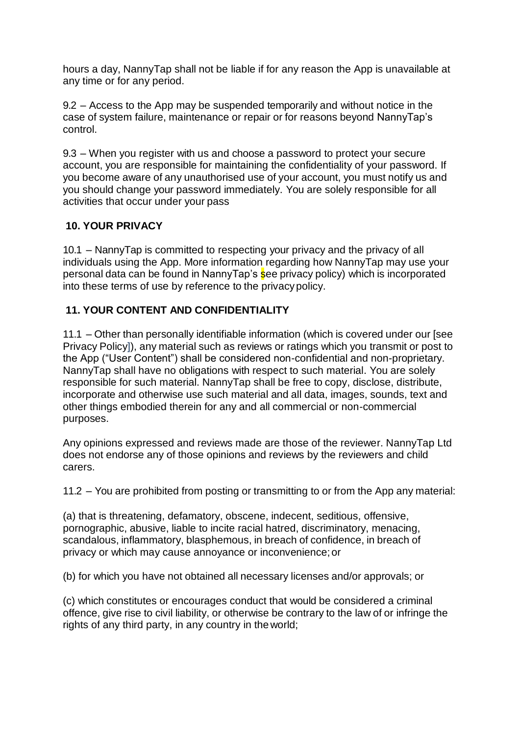hours a day, NannyTap shall not be liable if for any reason the App is unavailable at any time or for any period.

9.2 – Access to the App may be suspended temporarily and without notice in the case of system failure, maintenance or repair or for reasons beyond NannyTap's control.

9.3 – When you register with us and choose a password to protect your secure account, you are responsible for maintaining the confidentiality of your password. If you become aware of any unauthorised use of your account, you must notify us and you should change your password immediately. You are solely responsible for all activities that occur under your pass

## **10. YOUR PRIVACY**

10.1 – NannyTap is committed to respecting your privacy and the privacy of all individuals using the App. More information regarding how NannyTap may use your personal data can be found in NannyTap's see privacy policy) which is incorporated into these terms of use by reference to the privacypolicy.

# **11. YOUR CONTENT AND CONFIDENTIALITY**

11.1 – Other than personally identifiable information (which is covered under our [see Privacy Policy]), any material such as reviews or ratings which you transmit or post to the App ("User Content") shall be considered non-confidential and non-proprietary. NannyTap shall have no obligations with respect to such material. You are solely responsible for such material. NannyTap shall be free to copy, disclose, distribute, incorporate and otherwise use such material and all data, images, sounds, text and other things embodied therein for any and all commercial or non-commercial purposes.

Any opinions expressed and reviews made are those of the reviewer. NannyTap Ltd does not endorse any of those opinions and reviews by the reviewers and child carers.

11.2 – You are prohibited from posting or transmitting to or from the App any material:

(a) that is threatening, defamatory, obscene, indecent, seditious, offensive, pornographic, abusive, liable to incite racial hatred, discriminatory, menacing, scandalous, inflammatory, blasphemous, in breach of confidence, in breach of privacy or which may cause annoyance or inconvenience;or

(b) for which you have not obtained all necessary licenses and/or approvals; or

(c) which constitutes or encourages conduct that would be considered a criminal offence, give rise to civil liability, or otherwise be contrary to the law of or infringe the rights of any third party, in any country in theworld;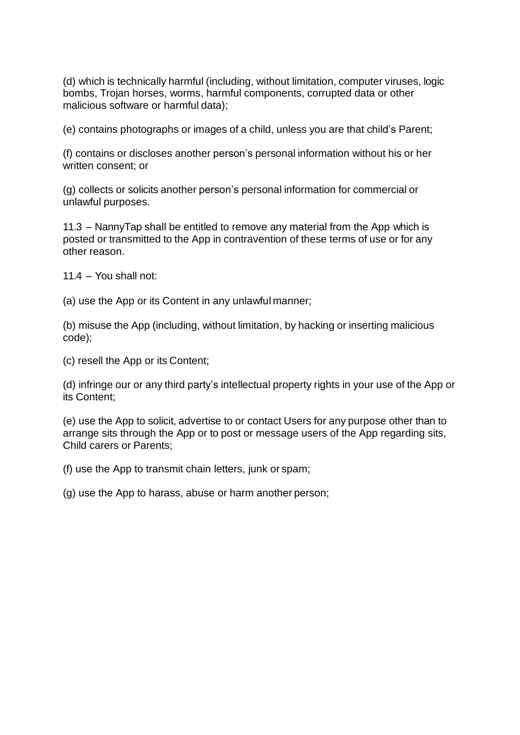(d) which is technically harmful (including, without limitation, computer viruses, logic bombs, Trojan horses, worms, harmful components, corrupted data or other malicious software or harmful data);

(e) contains photographs or images of a child, unless you are that child's Parent;

(f) contains or discloses another person's personal information without his or her written consent; or

(g) collects or solicits another person's personal information for commercial or unlawful purposes.

11.3 – NannyTap shall be entitled to remove any material from the App which is posted or transmitted to the App in contravention of these terms of use or for any other reason.

11.4 – You shall not:

(a) use the App or its Content in any unlawful manner;

(b) misuse the App (including, without limitation, by hacking or inserting malicious code);

(c) resell the App or its Content;

(d) infringe our or any third party's intellectual property rights in your use of the App or its Content;

(e) use the App to solicit, advertise to or contact Users for any purpose other than to arrange sits through the App or to post or message users of the App regarding sits, Child carers or Parents;

(f) use the App to transmit chain letters, junk or spam;

(g) use the App to harass, abuse or harm another person;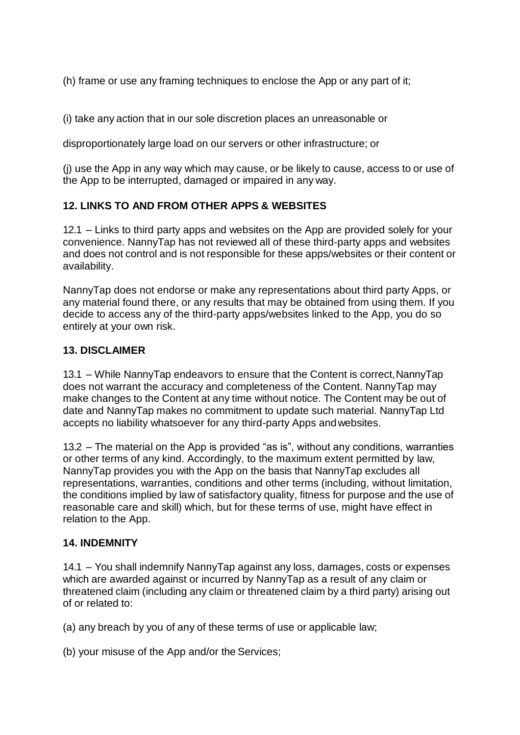(h) frame or use any framing techniques to enclose the App or any part of it;

(i) take any action that in our sole discretion places an unreasonable or

disproportionately large load on our servers or other infrastructure; or

(j) use the App in any way which may cause, or be likely to cause, access to or use of the App to be interrupted, damaged or impaired in any way.

## **12. LINKS TO AND FROM OTHER APPS & WEBSITES**

12.1 – Links to third party apps and websites on the App are provided solely for your convenience. NannyTap has not reviewed all of these third-party apps and websites and does not control and is not responsible for these apps/websites or their content or availability.

NannyTap does not endorse or make any representations about third party Apps, or any material found there, or any results that may be obtained from using them. If you decide to access any of the third-party apps/websites linked to the App, you do so entirely at your own risk.

### **13. DISCLAIMER**

13.1 – While NannyTap endeavors to ensure that the Content is correct,NannyTap does not warrant the accuracy and completeness of the Content. NannyTap may make changes to the Content at any time without notice. The Content may be out of date and NannyTap makes no commitment to update such material. NannyTap Ltd accepts no liability whatsoever for any third-party Apps andwebsites.

13.2 – The material on the App is provided "as is", without any conditions, warranties or other terms of any kind. Accordingly, to the maximum extent permitted by law, NannyTap provides you with the App on the basis that NannyTap excludes all representations, warranties, conditions and other terms (including, without limitation, the conditions implied by law of satisfactory quality, fitness for purpose and the use of reasonable care and skill) which, but for these terms of use, might have effect in relation to the App.

#### **14. INDEMNITY**

14.1 – You shall indemnify NannyTap against any loss, damages, costs or expenses which are awarded against or incurred by NannyTap as a result of any claim or threatened claim (including any claim or threatened claim by a third party) arising out of or related to:

(a) any breach by you of any of these terms of use or applicable law;

(b) your misuse of the App and/or the Services;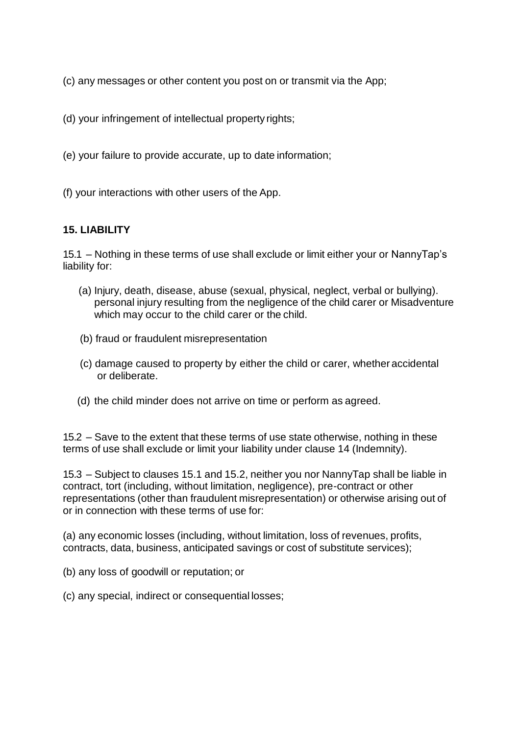(c) any messages or other content you post on or transmit via the App;

(d) your infringement of intellectual property rights;

(e) your failure to provide accurate, up to date information;

(f) your interactions with other users of the App.

#### **15. LIABILITY**

15.1 – Nothing in these terms of use shall exclude or limit either your or NannyTap's liability for:

- (a) Injury, death, disease, abuse (sexual, physical, neglect, verbal or bullying). personal injury resulting from the negligence of the child carer or Misadventure which may occur to the child carer or the child.
- (b) fraud or fraudulent misrepresentation
- (c) damage caused to property by either the child or carer, whether accidental or deliberate.
- (d) the child minder does not arrive on time or perform as agreed.

15.2 – Save to the extent that these terms of use state otherwise, nothing in these terms of use shall exclude or limit your liability under clause 14 (Indemnity).

15.3 – Subject to clauses 15.1 and 15.2, neither you nor NannyTap shall be liable in contract, tort (including, without limitation, negligence), pre-contract or other representations (other than fraudulent misrepresentation) or otherwise arising out of or in connection with these terms of use for:

(a) any economic losses (including, without limitation, loss of revenues, profits, contracts, data, business, anticipated savings or cost of substitute services);

- (b) any loss of goodwill or reputation; or
- (c) any special, indirect or consequential losses;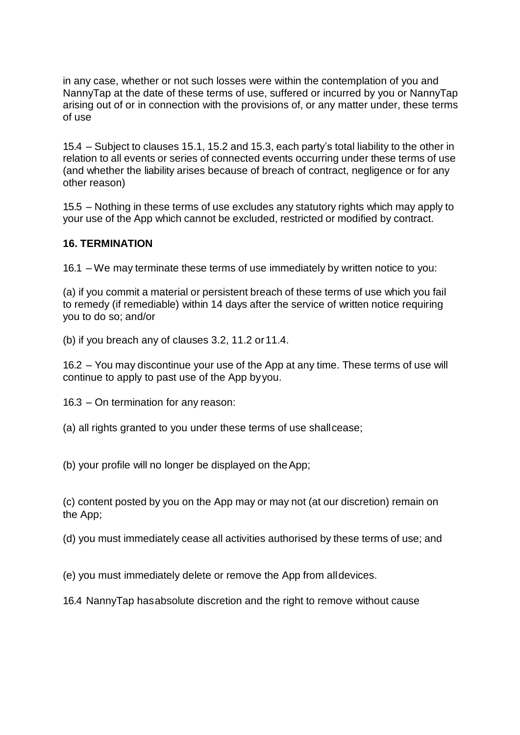in any case, whether or not such losses were within the contemplation of you and NannyTap at the date of these terms of use, suffered or incurred by you or NannyTap arising out of or in connection with the provisions of, or any matter under, these terms of use

15.4 – Subject to clauses 15.1, 15.2 and 15.3, each party's total liability to the other in relation to all events or series of connected events occurring under these terms of use (and whether the liability arises because of breach of contract, negligence or for any other reason)

15.5 – Nothing in these terms of use excludes any statutory rights which may apply to your use of the App which cannot be excluded, restricted or modified by contract.

## **16. TERMINATION**

16.1 – We may terminate these terms of use immediately by written notice to you:

(a) if you commit a material or persistent breach of these terms of use which you fail to remedy (if remediable) within 14 days after the service of written notice requiring you to do so; and/or

(b) if you breach any of clauses 3.2, 11.2 or11.4.

16.2 – You may discontinue your use of the App at any time. These terms of use will continue to apply to past use of the App byyou.

16.3 – On termination for any reason:

(a) all rights granted to you under these terms of use shallcease;

(b) your profile will no longer be displayed on theApp;

(c) content posted by you on the App may or may not (at our discretion) remain on the App;

(d) you must immediately cease all activities authorised by these terms of use; and

(e) you must immediately delete or remove the App from alldevices.

16.4 NannyTap hasabsolute discretion and the right to remove without cause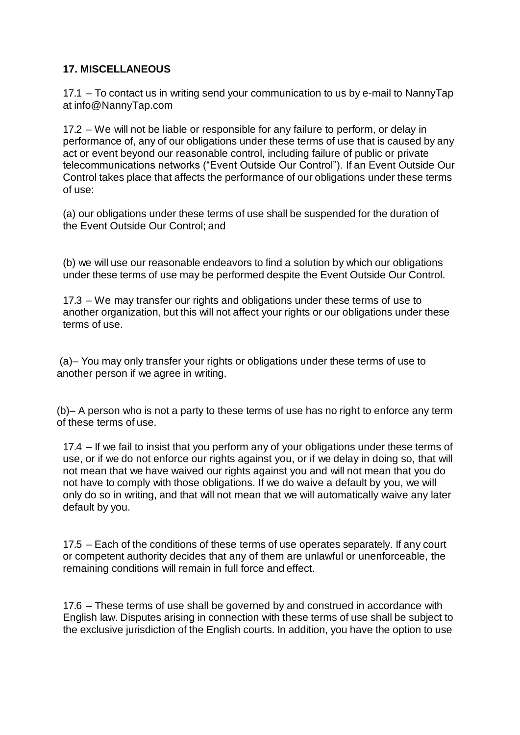## **17. MISCELLANEOUS**

17.1 – To contact us in writing send your communication to us by e-mail to NannyTap at [info@NannyTap.com](mailto:info@NannyTap.com)

17.2 – We will not be liable or responsible for any failure to perform, or delay in performance of, any of our obligations under these terms of use that is caused by any act or event beyond our reasonable control, including failure of public or private telecommunications networks ("Event Outside Our Control"). If an Event Outside Our Control takes place that affects the performance of our obligations under these terms of use:

(a) our obligations under these terms of use shall be suspended for the duration of the Event Outside Our Control; and

(b) we will use our reasonable endeavors to find a solution by which our obligations under these terms of use may be performed despite the Event Outside Our Control.

17.3 – We may transfer our rights and obligations under these terms of use to another organization, but this will not affect your rights or our obligations under these terms of use.

(a)– You may only transfer your rights or obligations under these terms of use to another person if we agree in writing.

(b)– A person who is not a party to these terms of use has no right to enforce any term of these terms of use.

17.4 – If we fail to insist that you perform any of your obligations under these terms of use, or if we do not enforce our rights against you, or if we delay in doing so, that will not mean that we have waived our rights against you and will not mean that you do not have to comply with those obligations. If we do waive a default by you, we will only do so in writing, and that will not mean that we will automatically waive any later default by you.

17.5 – Each of the conditions of these terms of use operates separately. If any court or competent authority decides that any of them are unlawful or unenforceable, the remaining conditions will remain in full force and effect.

17.6 – These terms of use shall be governed by and construed in accordance with English law. Disputes arising in connection with these terms of use shall be subject to the exclusive jurisdiction of the English courts. In addition, you have the option to use